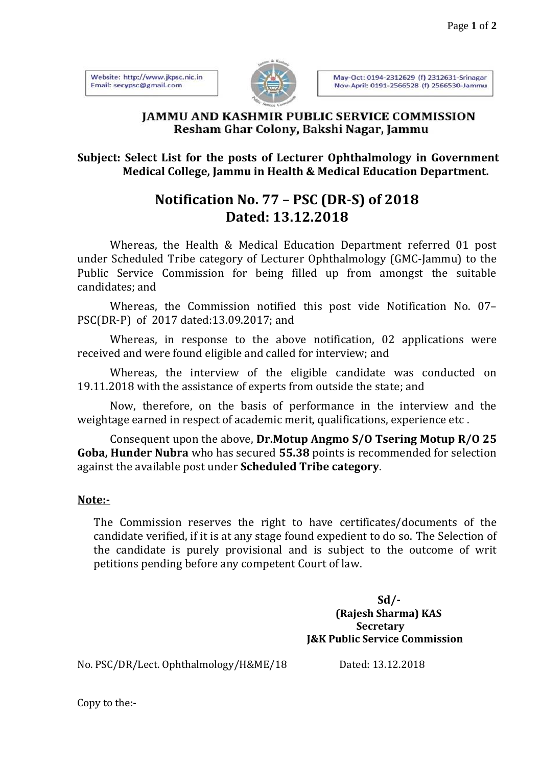Website: http://www.jkpsc.nic.in Email: secvosc@gmail.com



May-Oct: 0194-2312629 (f) 2312631-Srinagar Nov-April: 0191-2566528 (f) 2566530-Jammu

## **IAMMU AND KASHMIR PUBLIC SERVICE COMMISSION** Resham Ghar Colony, Bakshi Nagar, Jammu

**Subject: Select List for the posts of Lecturer Ophthalmology in Government Medical College, Jammu in Health & Medical Education Department.**

## **Notification No. 77 – PSC (DR-S) of 2018 Dated: 13.12.2018**

Whereas, the Health & Medical Education Department referred 01 post under Scheduled Tribe category of Lecturer Ophthalmology (GMC-Jammu) to the Public Service Commission for being filled up from amongst the suitable candidates; and

Whereas, the Commission notified this post vide Notification No. 07– PSC(DR-P) of 2017 dated:13.09.2017; and

Whereas, in response to the above notification, 02 applications were received and were found eligible and called for interview; and

Whereas, the interview of the eligible candidate was conducted on 19.11.2018 with the assistance of experts from outside the state; and

Now, therefore, on the basis of performance in the interview and the weightage earned in respect of academic merit, qualifications, experience etc .

Consequent upon the above, **Dr.Motup Angmo S/O Tsering Motup R/O 25 Goba, Hunder Nubra** who has secured **55.38** points is recommended for selection against the available post under **Scheduled Tribe category**.

## **Note:-**

The Commission reserves the right to have certificates/documents of the candidate verified, if it is at any stage found expedient to do so. The Selection of the candidate is purely provisional and is subject to the outcome of writ petitions pending before any competent Court of law.

> **Sd/- (Rajesh Sharma) KAS Secretary J&K Public Service Commission**

No. PSC/DR/Lect. Ophthalmology/H&ME/18 Dated: 13.12.2018

Copy to the:-